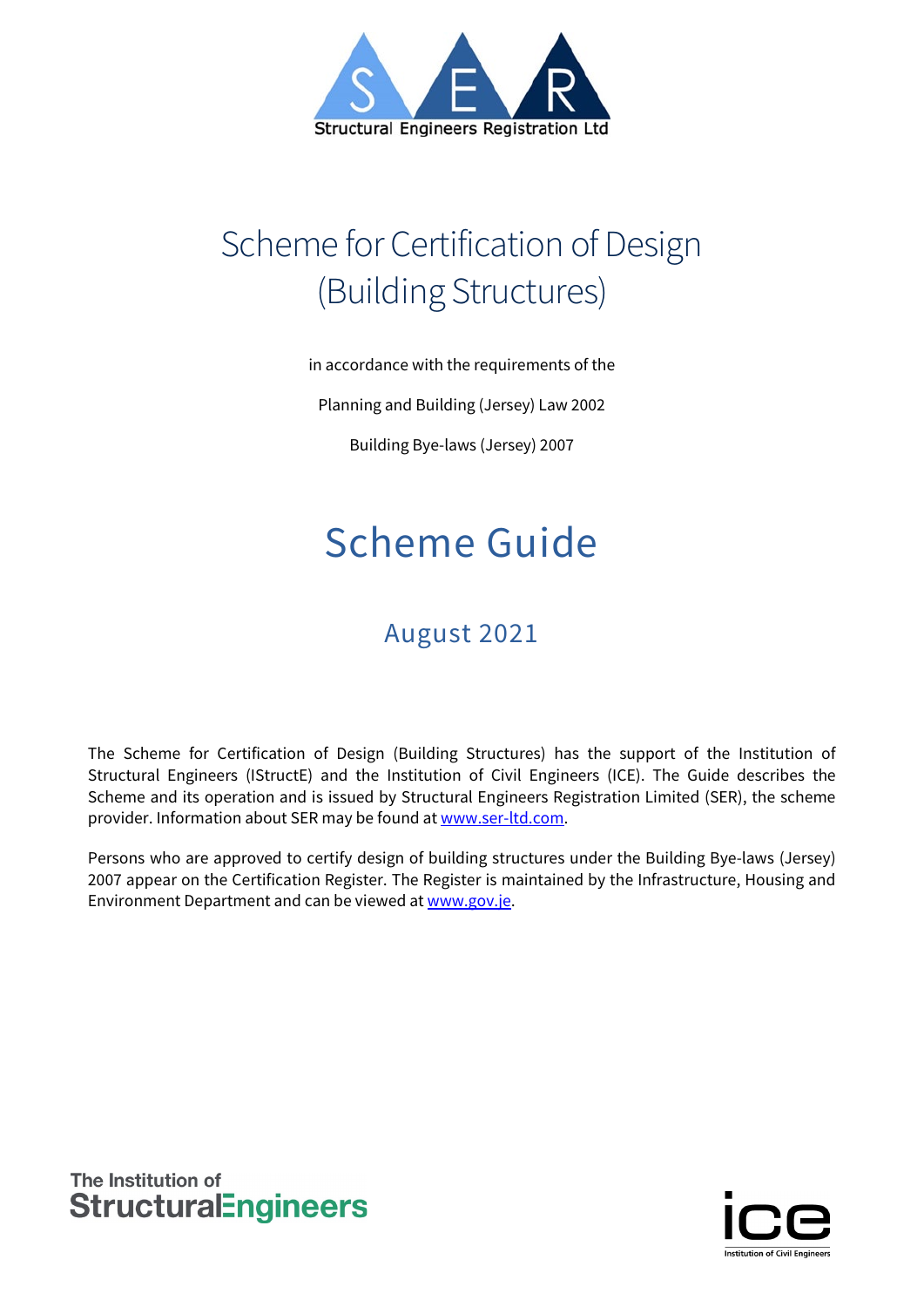

# Scheme for Certification of Design (Building Structures)

in accordance with the requirements of the

Planning and Building (Jersey) Law 2002

Building Bye-laws (Jersey) 2007

# Scheme Guide

# August 2021

The Scheme for Certification of Design (Building Structures) has the support of the Institution of Structural Engineers (IStructE) and the Institution of Civil Engineers (ICE). The Guide describes the Scheme and its operation and is issued by Structural Engineers Registration Limited (SER), the scheme provider. Information about SER may be found at [www.ser-ltd.com.](http://www.ser-ltd.com/)

Persons who are approved to certify design of building structures under the Building Bye-laws (Jersey) 2007 appear on the Certification Register. The Register is maintained by the Infrastructure, Housing and Environment Department and can be viewed a[t www.gov.je.](http://www.gov.je/)

The Institution of **StructuralEngineers** 

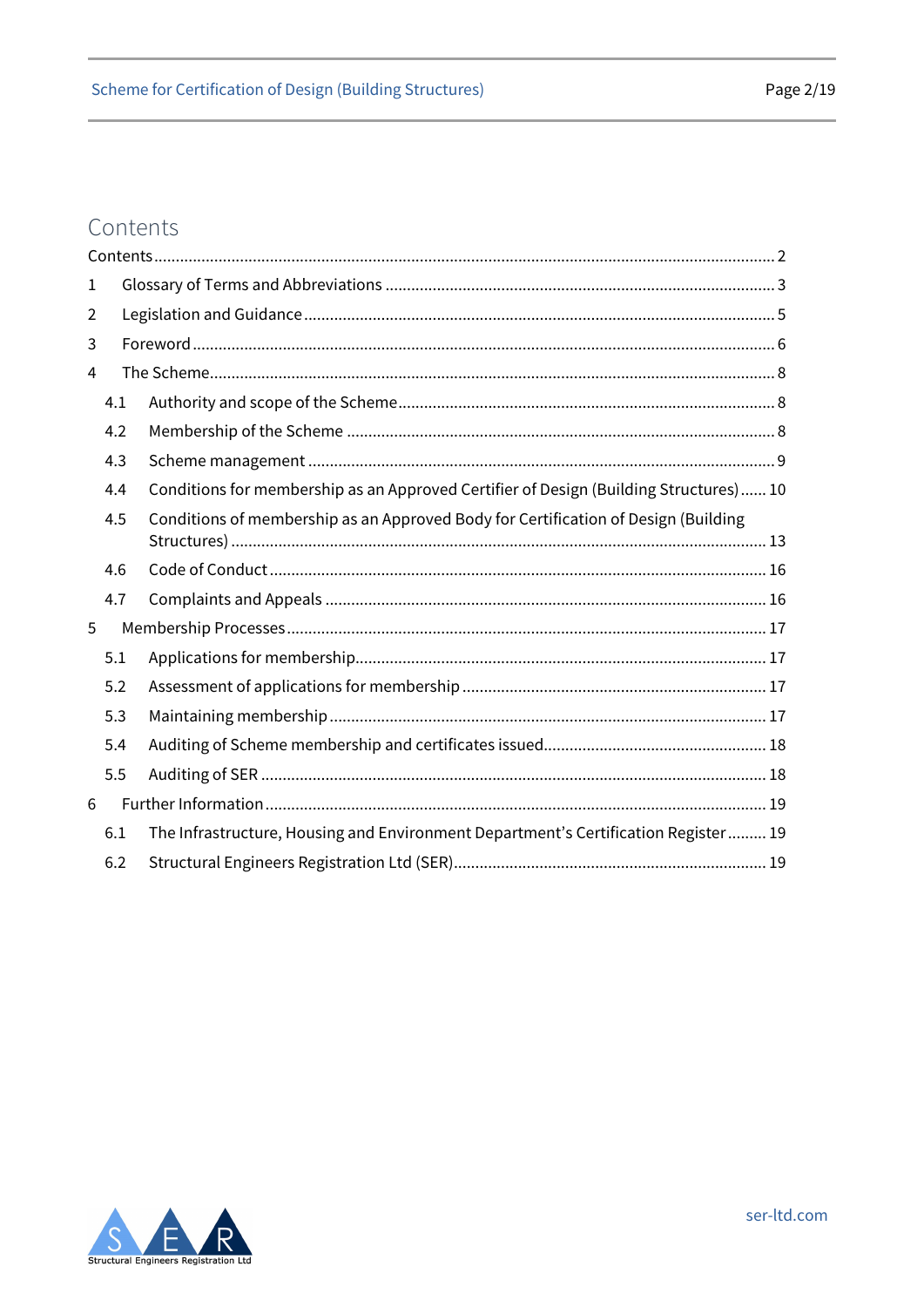# <span id="page-1-0"></span>Contents

| 1 |     |                                                                                       |  |
|---|-----|---------------------------------------------------------------------------------------|--|
| 2 |     |                                                                                       |  |
| 3 |     |                                                                                       |  |
| 4 |     |                                                                                       |  |
|   | 4.1 |                                                                                       |  |
|   | 4.2 |                                                                                       |  |
|   | 4.3 |                                                                                       |  |
|   | 4.4 | Conditions for membership as an Approved Certifier of Design (Building Structures) 10 |  |
|   | 4.5 | Conditions of membership as an Approved Body for Certification of Design (Building    |  |
|   | 4.6 |                                                                                       |  |
|   | 4.7 |                                                                                       |  |
| 5 |     |                                                                                       |  |
|   | 5.1 |                                                                                       |  |
|   | 5.2 |                                                                                       |  |
|   | 5.3 |                                                                                       |  |
|   | 5.4 |                                                                                       |  |
|   | 5.5 |                                                                                       |  |
| 6 |     |                                                                                       |  |
|   | 6.1 | The Infrastructure, Housing and Environment Department's Certification Register 19    |  |
|   | 6.2 |                                                                                       |  |

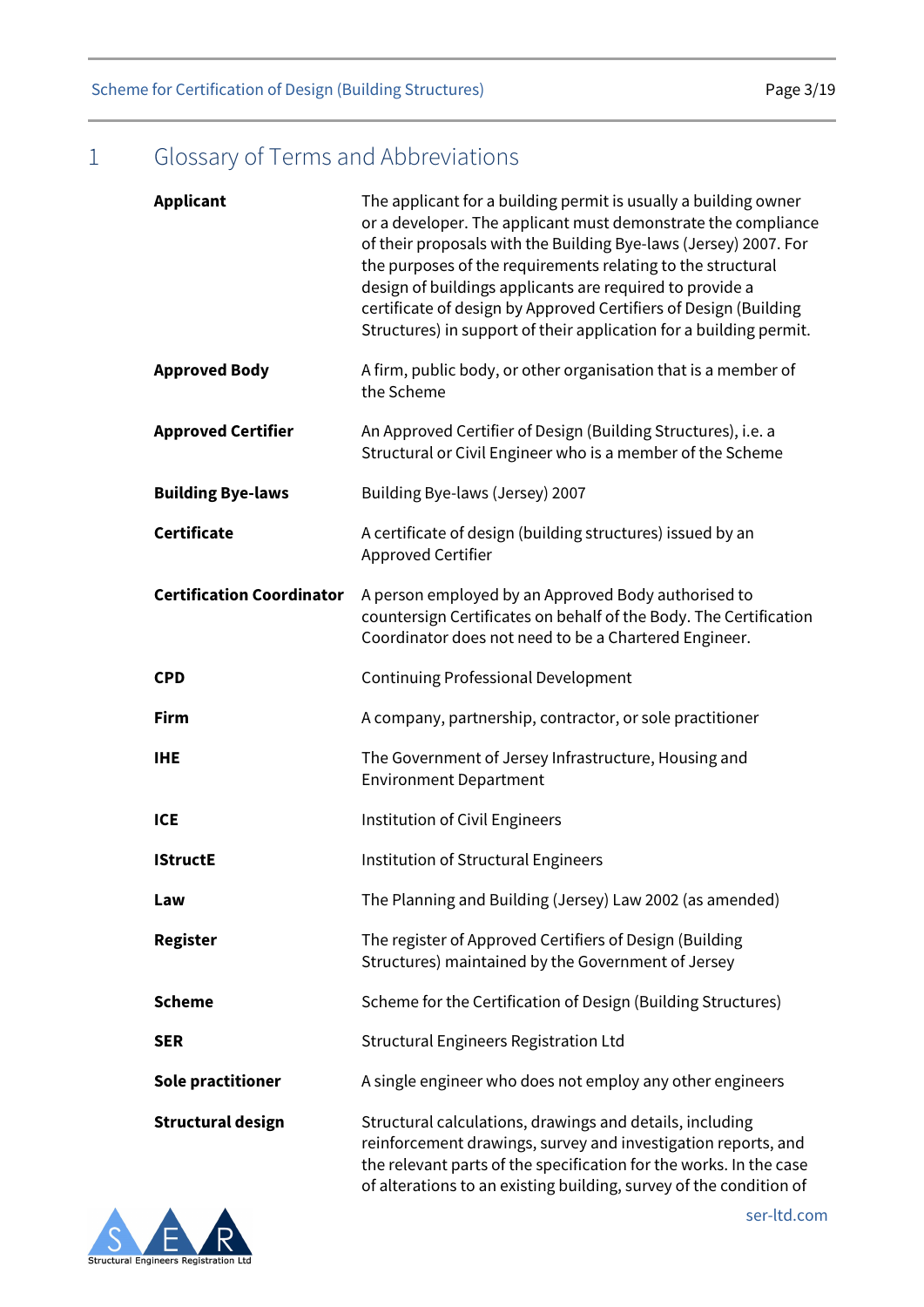Scheme for Certification of Design (Building Structures) example 2013 Page 3/19

# <span id="page-2-0"></span>1 Glossary of Terms and Abbreviations

| <b>Applicant</b>                 | The applicant for a building permit is usually a building owner<br>or a developer. The applicant must demonstrate the compliance<br>of their proposals with the Building Bye-laws (Jersey) 2007. For<br>the purposes of the requirements relating to the structural<br>design of buildings applicants are required to provide a<br>certificate of design by Approved Certifiers of Design (Building<br>Structures) in support of their application for a building permit. |
|----------------------------------|---------------------------------------------------------------------------------------------------------------------------------------------------------------------------------------------------------------------------------------------------------------------------------------------------------------------------------------------------------------------------------------------------------------------------------------------------------------------------|
| <b>Approved Body</b>             | A firm, public body, or other organisation that is a member of<br>the Scheme                                                                                                                                                                                                                                                                                                                                                                                              |
| <b>Approved Certifier</b>        | An Approved Certifier of Design (Building Structures), i.e. a<br>Structural or Civil Engineer who is a member of the Scheme                                                                                                                                                                                                                                                                                                                                               |
| <b>Building Bye-laws</b>         | Building Bye-laws (Jersey) 2007                                                                                                                                                                                                                                                                                                                                                                                                                                           |
| <b>Certificate</b>               | A certificate of design (building structures) issued by an<br>Approved Certifier                                                                                                                                                                                                                                                                                                                                                                                          |
| <b>Certification Coordinator</b> | A person employed by an Approved Body authorised to<br>countersign Certificates on behalf of the Body. The Certification<br>Coordinator does not need to be a Chartered Engineer.                                                                                                                                                                                                                                                                                         |
| <b>CPD</b>                       | <b>Continuing Professional Development</b>                                                                                                                                                                                                                                                                                                                                                                                                                                |
| <b>Firm</b>                      | A company, partnership, contractor, or sole practitioner                                                                                                                                                                                                                                                                                                                                                                                                                  |
| <b>IHE</b>                       | The Government of Jersey Infrastructure, Housing and<br><b>Environment Department</b>                                                                                                                                                                                                                                                                                                                                                                                     |
| <b>ICE</b>                       | Institution of Civil Engineers                                                                                                                                                                                                                                                                                                                                                                                                                                            |
| <b>IStructE</b>                  | Institution of Structural Engineers                                                                                                                                                                                                                                                                                                                                                                                                                                       |
| Law                              | The Planning and Building (Jersey) Law 2002 (as amended)                                                                                                                                                                                                                                                                                                                                                                                                                  |
| <b>Register</b>                  | The register of Approved Certifiers of Design (Building<br>Structures) maintained by the Government of Jersey                                                                                                                                                                                                                                                                                                                                                             |
| <b>Scheme</b>                    | Scheme for the Certification of Design (Building Structures)                                                                                                                                                                                                                                                                                                                                                                                                              |
| <b>SER</b>                       | <b>Structural Engineers Registration Ltd</b>                                                                                                                                                                                                                                                                                                                                                                                                                              |
| Sole practitioner                | A single engineer who does not employ any other engineers                                                                                                                                                                                                                                                                                                                                                                                                                 |
| <b>Structural design</b>         | Structural calculations, drawings and details, including<br>reinforcement drawings, survey and investigation reports, and<br>the relevant parts of the specification for the works. In the case<br>of alterations to an existing building, survey of the condition of                                                                                                                                                                                                     |

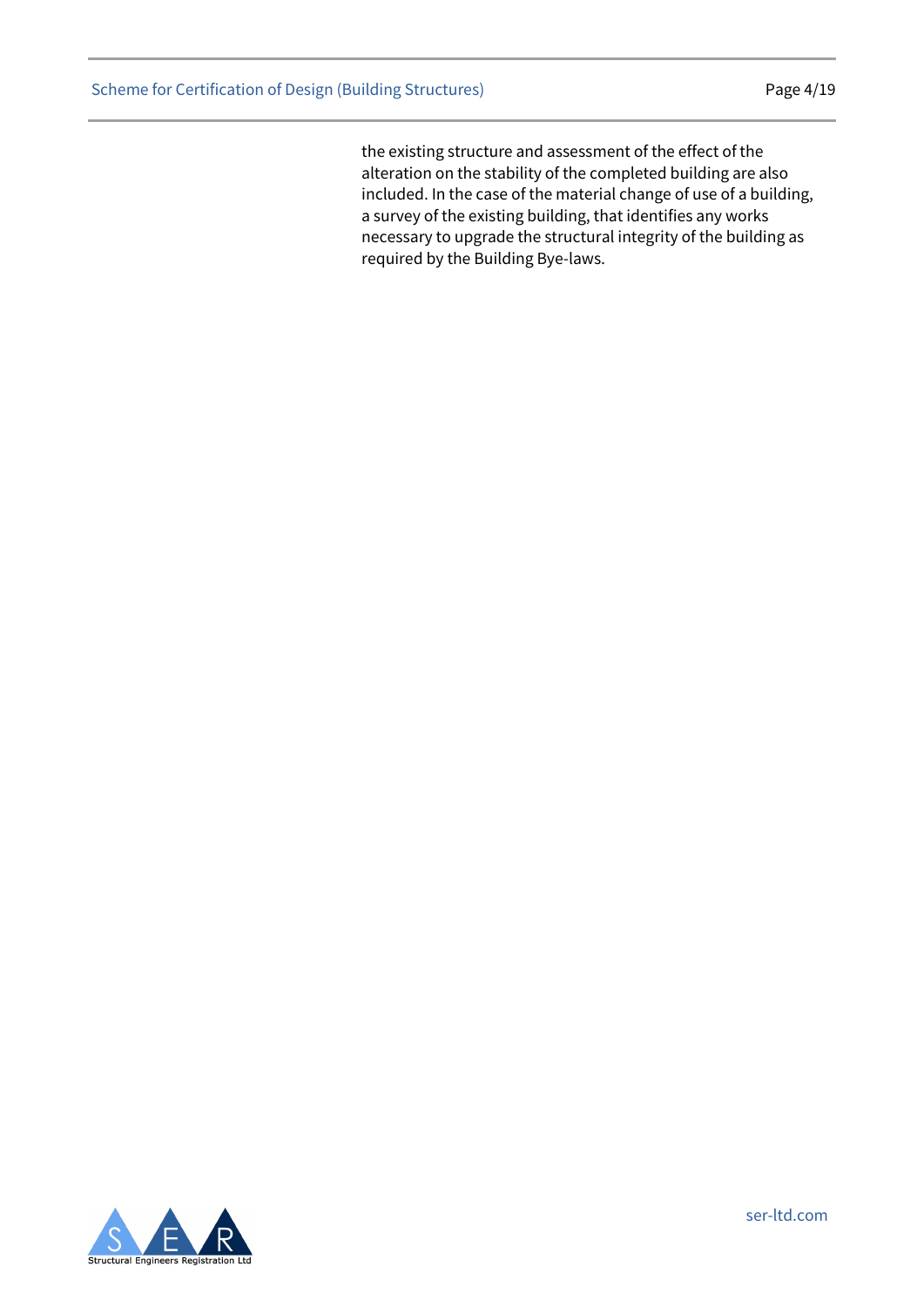the existing structure and assessment of the effect of the alteration on the stability of the completed building are also included. In the case of the material change of use of a building, a survey of the existing building, that identifies any works necessary to upgrade the structural integrity of the building as required by the Building Bye-laws.

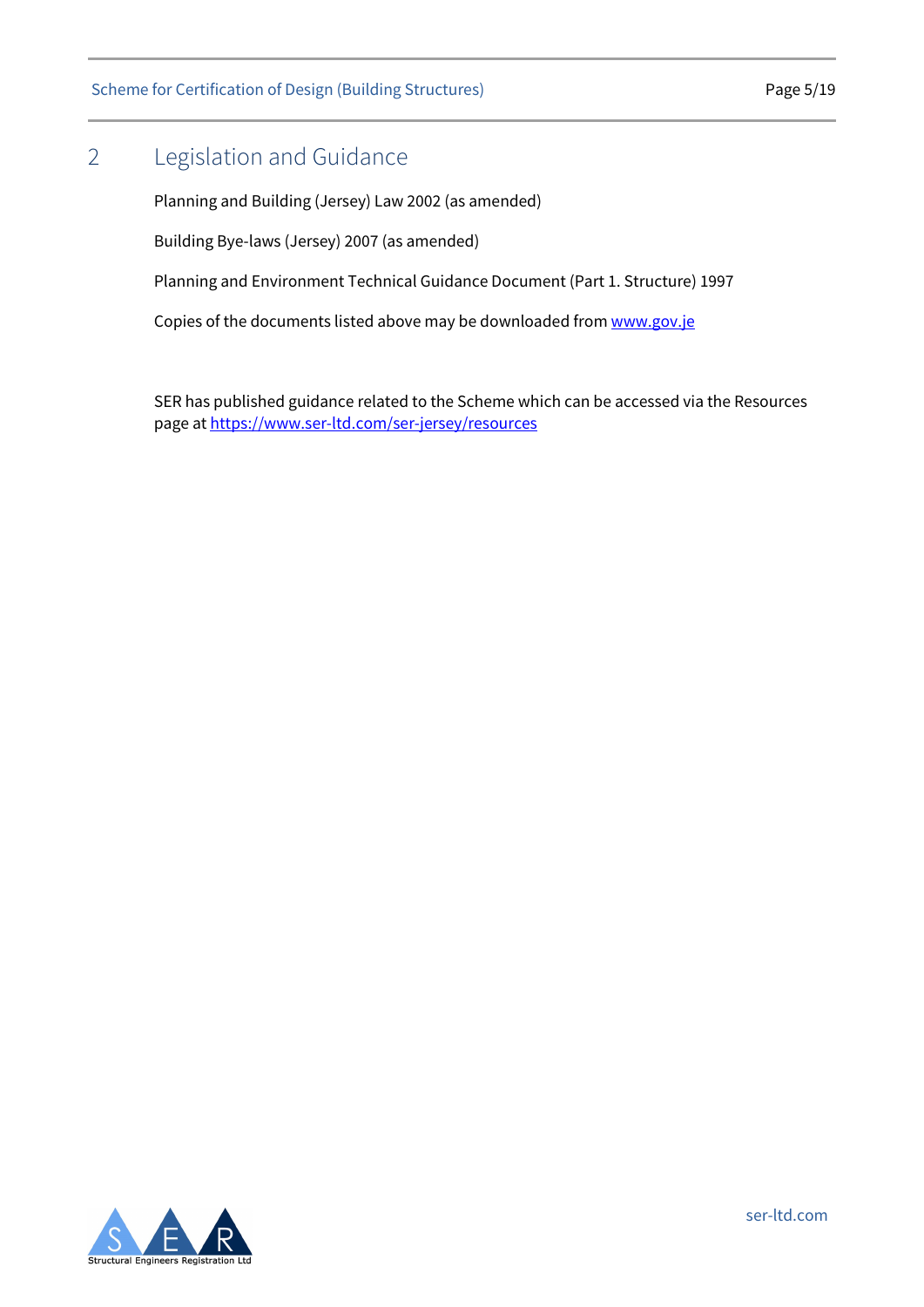Scheme for Certification of Design (Building Structures) example 2014 Page 5/19

# <span id="page-4-0"></span>2 Legislation and Guidance

Planning and Building (Jersey) Law 2002 (as amended)

Building Bye-laws (Jersey) 2007 (as amended)

Planning and Environment Technical Guidance Document (Part 1. Structure) 1997

Copies of the documents listed above may be downloaded fro[m www.gov.je](http://www.gov.je/)

SER has published guidance related to the Scheme which can be accessed via the Resources page a[t https://www.ser-ltd.com/ser-jersey/resources](https://www.ser-ltd.com/ser-jersey/resources)

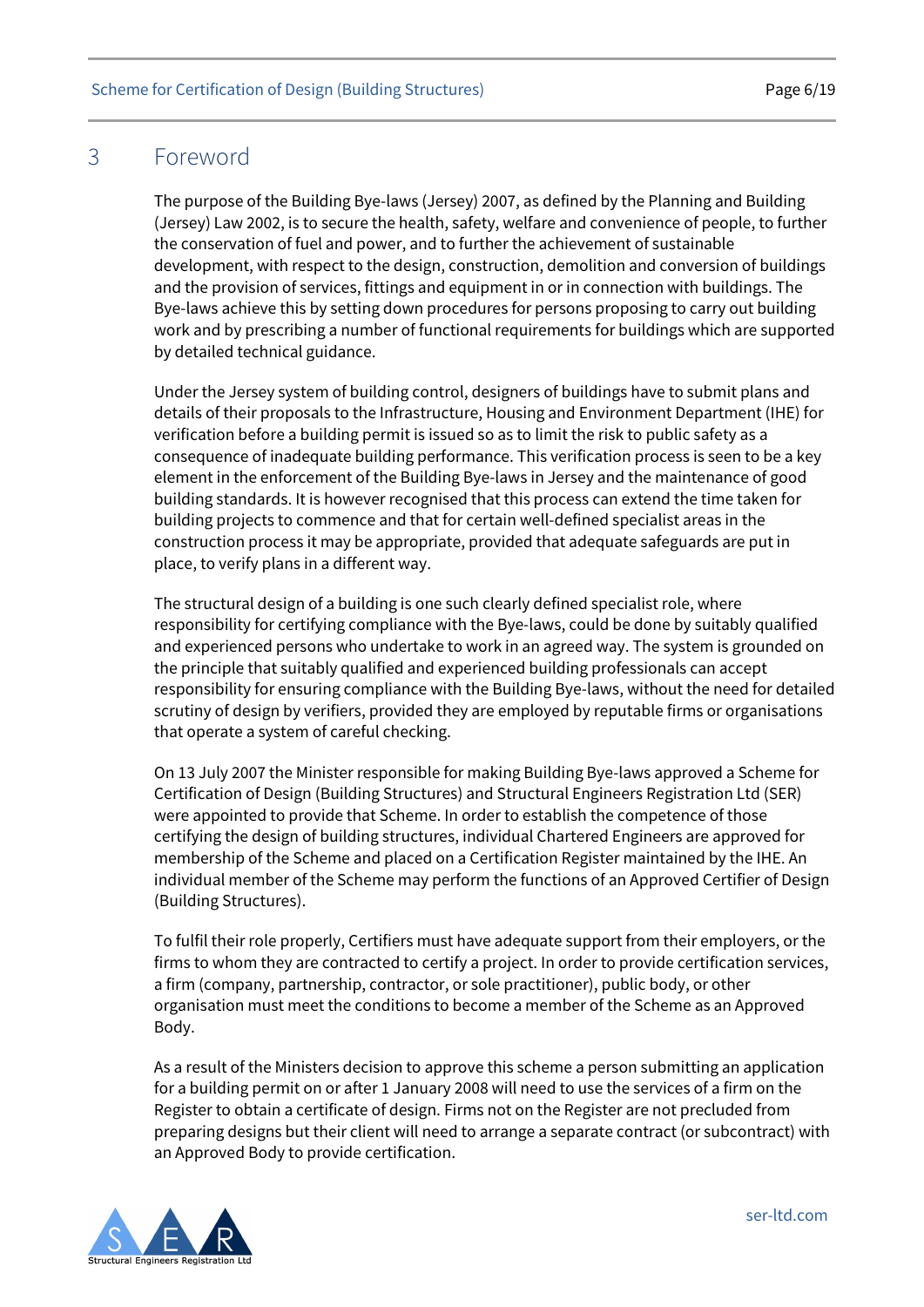### <span id="page-5-0"></span>3 Foreword

The purpose of the Building Bye-laws (Jersey) 2007, as defined by the Planning and Building (Jersey) Law 2002, is to secure the health, safety, welfare and convenience of people, to further the conservation of fuel and power, and to further the achievement of sustainable development, with respect to the design, construction, demolition and conversion of buildings and the provision of services, fittings and equipment in or in connection with buildings. The Bye-laws achieve this by setting down procedures for persons proposing to carry out building work and by prescribing a number of functional requirements for buildings which are supported by detailed technical guidance.

Under the Jersey system of building control, designers of buildings have to submit plans and details of their proposals to the Infrastructure, Housing and Environment Department (IHE) for verification before a building permit is issued so as to limit the risk to public safety as a consequence of inadequate building performance. This verification process is seen to be a key element in the enforcement of the Building Bye-laws in Jersey and the maintenance of good building standards. It is however recognised that this process can extend the time taken for building projects to commence and that for certain well-defined specialist areas in the construction process it may be appropriate, provided that adequate safeguards are put in place, to verify plans in a different way.

The structural design of a building is one such clearly defined specialist role, where responsibility for certifying compliance with the Bye-laws, could be done by suitably qualified and experienced persons who undertake to work in an agreed way. The system is grounded on the principle that suitably qualified and experienced building professionals can accept responsibility for ensuring compliance with the Building Bye-laws, without the need for detailed scrutiny of design by verifiers, provided they are employed by reputable firms or organisations that operate a system of careful checking.

On 13 July 2007 the Minister responsible for making Building Bye-laws approved a Scheme for Certification of Design (Building Structures) and Structural Engineers Registration Ltd (SER) were appointed to provide that Scheme. In order to establish the competence of those certifying the design of building structures, individual Chartered Engineers are approved for membership of the Scheme and placed on a Certification Register maintained by the IHE. An individual member of the Scheme may perform the functions of an Approved Certifier of Design (Building Structures).

To fulfil their role properly, Certifiers must have adequate support from their employers, or the firms to whom they are contracted to certify a project. In order to provide certification services, a firm (company, partnership, contractor, or sole practitioner), public body, or other organisation must meet the conditions to become a member of the Scheme as an Approved Body.

As a result of the Ministers decision to approve this scheme a person submitting an application for a building permit on or after 1 January 2008 will need to use the services of a firm on the Register to obtain a certificate of design. Firms not on the Register are not precluded from preparing designs but their client will need to arrange a separate contract (or subcontract) with an Approved Body to provide certification.

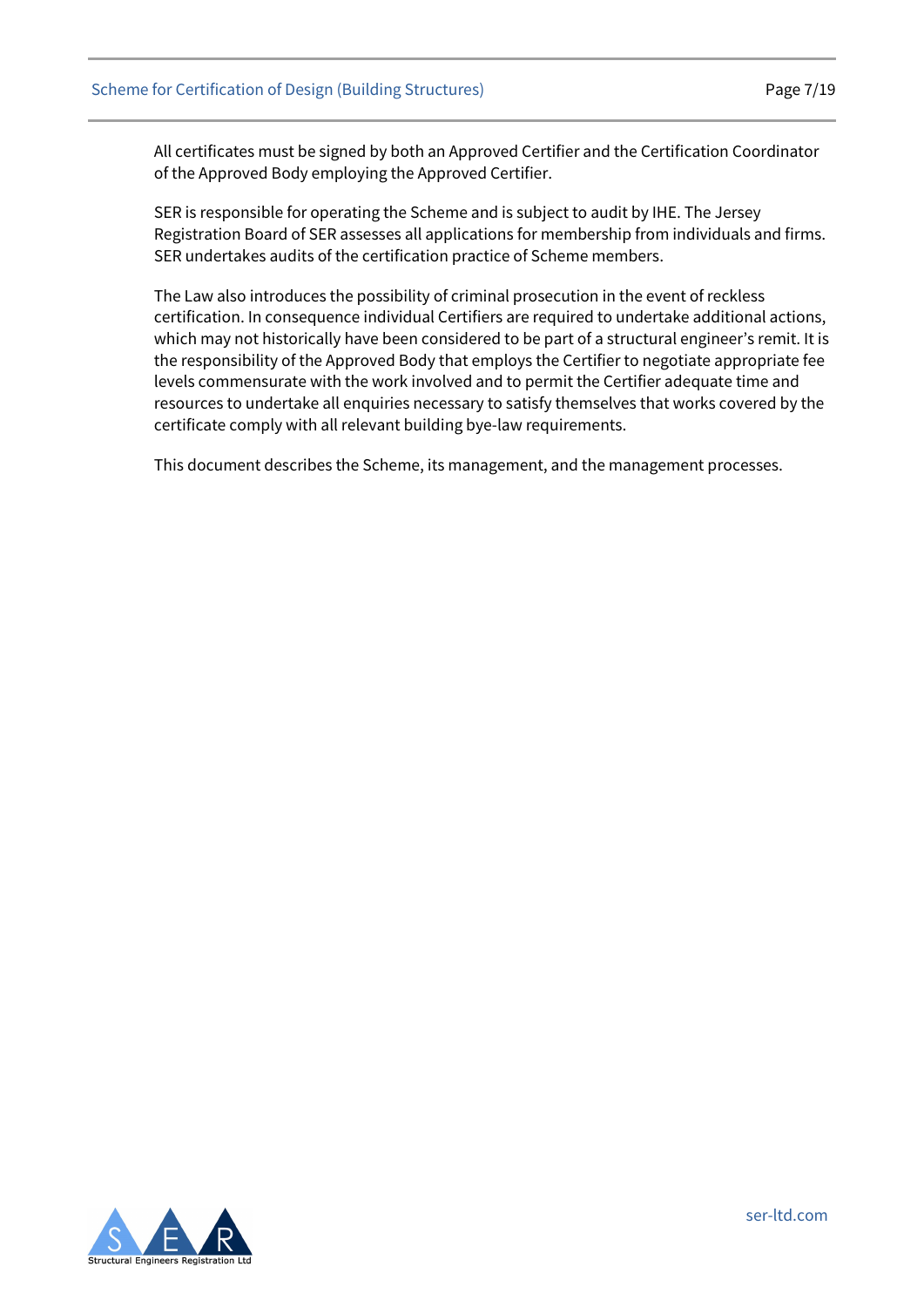All certificates must be signed by both an Approved Certifier and the Certification Coordinator of the Approved Body employing the Approved Certifier.

SER is responsible for operating the Scheme and is subject to audit by IHE. The Jersey Registration Board of SER assesses all applications for membership from individuals and firms. SER undertakes audits of the certification practice of Scheme members.

The Law also introduces the possibility of criminal prosecution in the event of reckless certification. In consequence individual Certifiers are required to undertake additional actions, which may not historically have been considered to be part of a structural engineer's remit. It is the responsibility of the Approved Body that employs the Certifier to negotiate appropriate fee levels commensurate with the work involved and to permit the Certifier adequate time and resources to undertake all enquiries necessary to satisfy themselves that works covered by the certificate comply with all relevant building bye-law requirements.

This document describes the Scheme, its management, and the management processes.

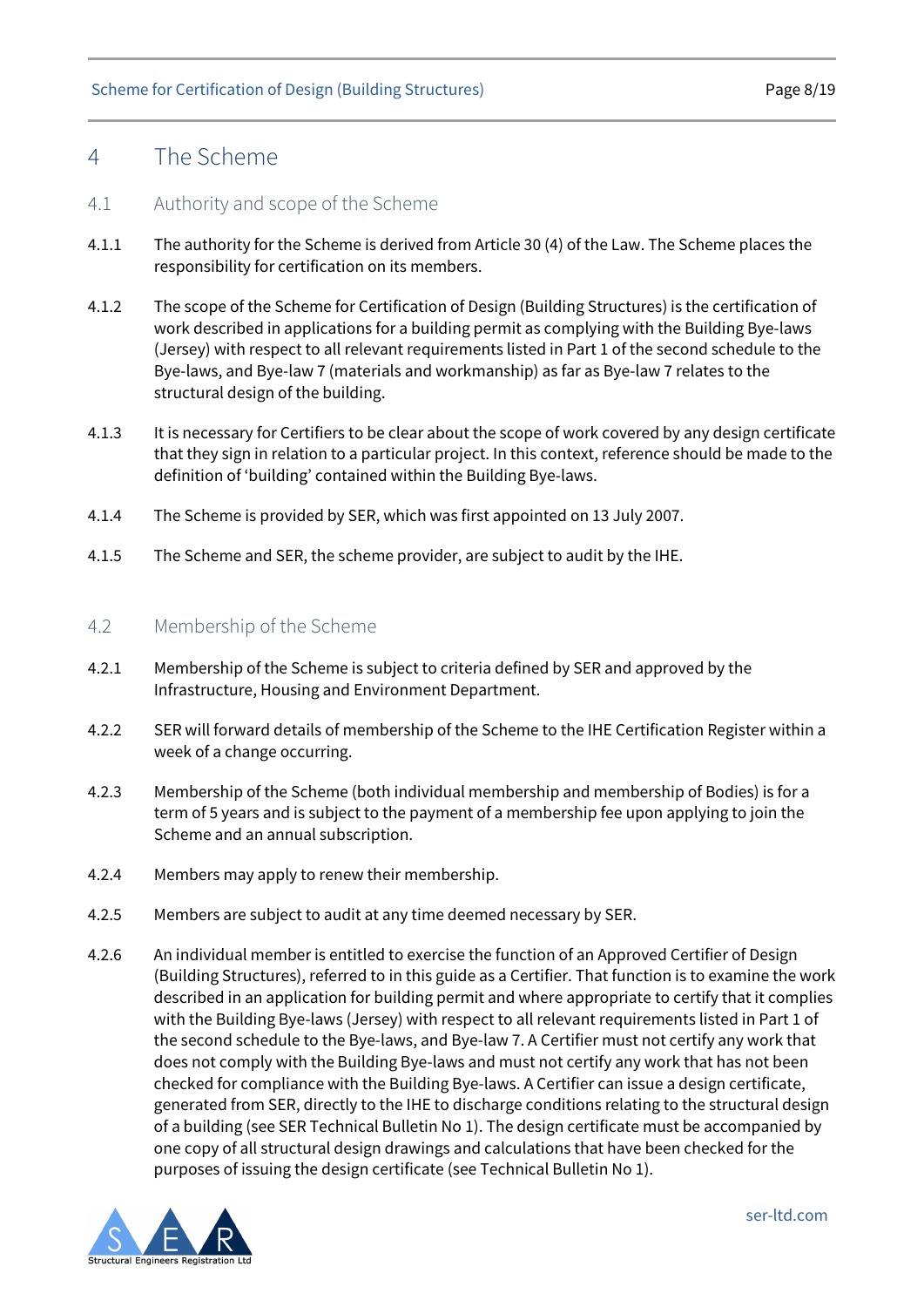### <span id="page-7-0"></span>4 The Scheme

#### <span id="page-7-1"></span>4.1 Authority and scope of the Scheme

- 4.1.1 The authority for the Scheme is derived from Article 30 (4) of the Law. The Scheme places the responsibility for certification on its members.
- 4.1.2 The scope of the Scheme for Certification of Design (Building Structures) is the certification of work described in applications for a building permit as complying with the Building Bye-laws (Jersey) with respect to all relevant requirements listed in Part 1 of the second schedule to the Bye-laws, and Bye-law 7 (materials and workmanship) as far as Bye-law 7 relates to the structural design of the building.
- 4.1.3 It is necessary for Certifiers to be clear about the scope of work covered by any design certificate that they sign in relation to a particular project. In this context, reference should be made to the definition of 'building' contained within the Building Bye-laws.
- 4.1.4 The Scheme is provided by SER, which was first appointed on 13 July 2007.
- 4.1.5 The Scheme and SER, the scheme provider, are subject to audit by the IHE.

#### <span id="page-7-2"></span>4.2 Membership of the Scheme

- 4.2.1 Membership of the Scheme is subject to criteria defined by SER and approved by the Infrastructure, Housing and Environment Department.
- 4.2.2 SER will forward details of membership of the Scheme to the IHE Certification Register within a week of a change occurring.
- 4.2.3 Membership of the Scheme (both individual membership and membership of Bodies) is for a term of 5 years and is subject to the payment of a membership fee upon applying to join the Scheme and an annual subscription.
- 4.2.4 Members may apply to renew their membership.
- 4.2.5 Members are subject to audit at any time deemed necessary by SER.
- 4.2.6 An individual member is entitled to exercise the function of an Approved Certifier of Design (Building Structures), referred to in this guide as a Certifier. That function is to examine the work described in an application for building permit and where appropriate to certify that it complies with the Building Bye-laws (Jersey) with respect to all relevant requirements listed in Part 1 of the second schedule to the Bye-laws, and Bye-law 7. A Certifier must not certify any work that does not comply with the Building Bye-laws and must not certify any work that has not been checked for compliance with the Building Bye-laws. A Certifier can issue a design certificate, generated from SER, directly to the IHE to discharge conditions relating to the structural design of a building (see SER Technical Bulletin No 1). The design certificate must be accompanied by one copy of all structural design drawings and calculations that have been checked for the purposes of issuing the design certificate (see Technical Bulletin No 1).

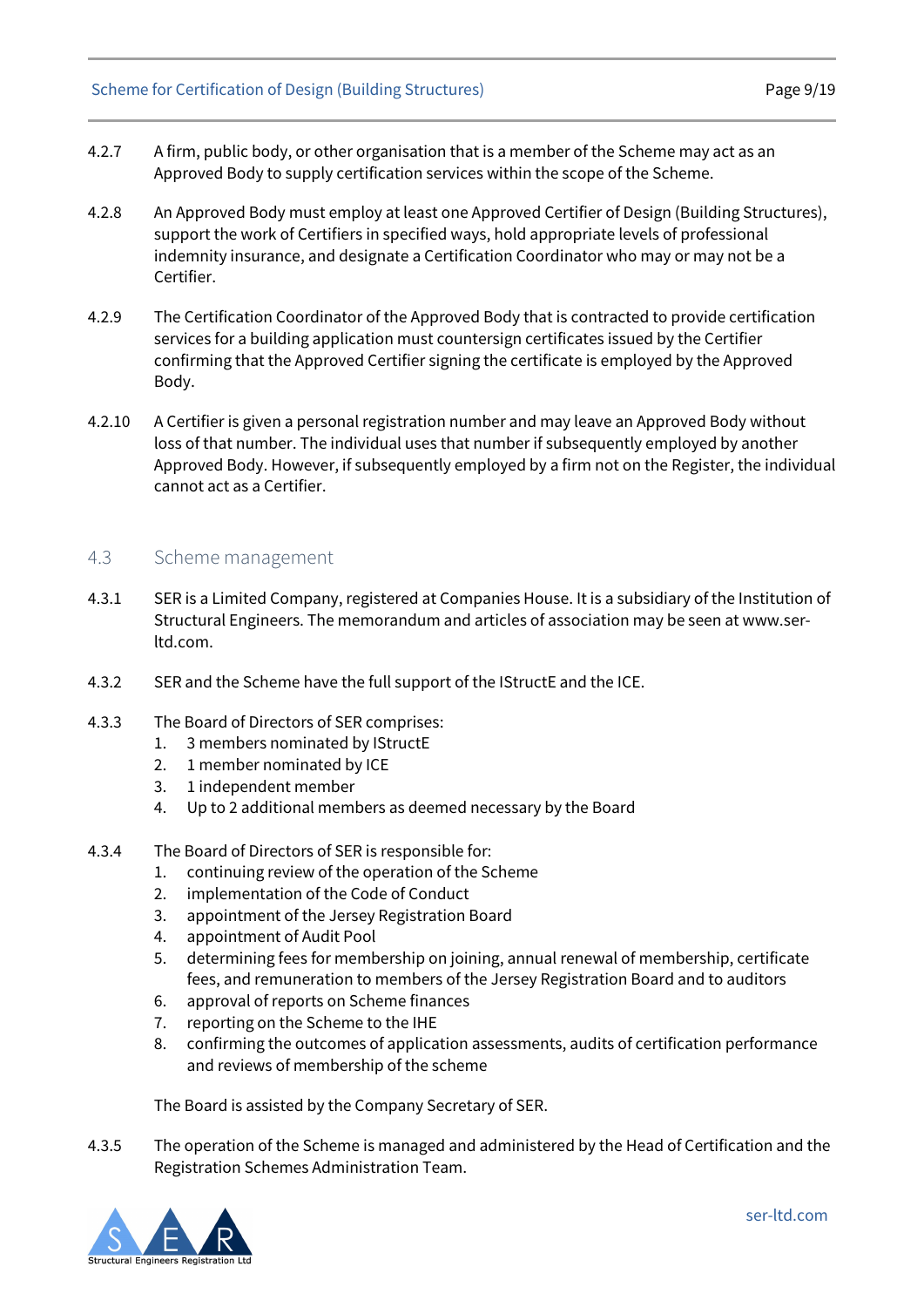- 4.2.7 A firm, public body, or other organisation that is a member of the Scheme may act as an Approved Body to supply certification services within the scope of the Scheme.
- 4.2.8 An Approved Body must employ at least one Approved Certifier of Design (Building Structures), support the work of Certifiers in specified ways, hold appropriate levels of professional indemnity insurance, and designate a Certification Coordinator who may or may not be a Certifier.
- 4.2.9 The Certification Coordinator of the Approved Body that is contracted to provide certification services for a building application must countersign certificates issued by the Certifier confirming that the Approved Certifier signing the certificate is employed by the Approved Body.
- 4.2.10 A Certifier is given a personal registration number and may leave an Approved Body without loss of that number. The individual uses that number if subsequently employed by another Approved Body. However, if subsequently employed by a firm not on the Register, the individual cannot act as a Certifier.

#### <span id="page-8-0"></span>4.3 Scheme management

- 4.3.1 SER is a Limited Company, registered at Companies House. It is a subsidiary of the Institution of Structural Engineers. The memorandum and articles of association may be seen a[t www.ser](http://www.ser-ltd.com/)[ltd.com.](http://www.ser-ltd.com/)
- 4.3.2 SER and the Scheme have the full support of the IStructE and the ICE.
- 4.3.3 The Board of Directors of SER comprises:
	- 1. 3 members nominated by IStructE
	- 2. 1 member nominated by ICE
	- 3. 1 independent member
	- 4. Up to 2 additional members as deemed necessary by the Board
- 4.3.4 The Board of Directors of SER is responsible for:
	- 1. continuing review of the operation of the Scheme
	- 2. implementation of the Code of Conduct
	- 3. appointment of the Jersey Registration Board
	- 4. appointment of Audit Pool
	- 5. determining fees for membership on joining, annual renewal of membership, certificate fees, and remuneration to members of the Jersey Registration Board and to auditors
	- 6. approval of reports on Scheme finances
	- 7. reporting on the Scheme to the IHE
	- 8. confirming the outcomes of application assessments, audits of certification performance and reviews of membership of the scheme

The Board is assisted by the Company Secretary of SER.

4.3.5 The operation of the Scheme is managed and administered by the Head of Certification and the Registration Schemes Administration Team.

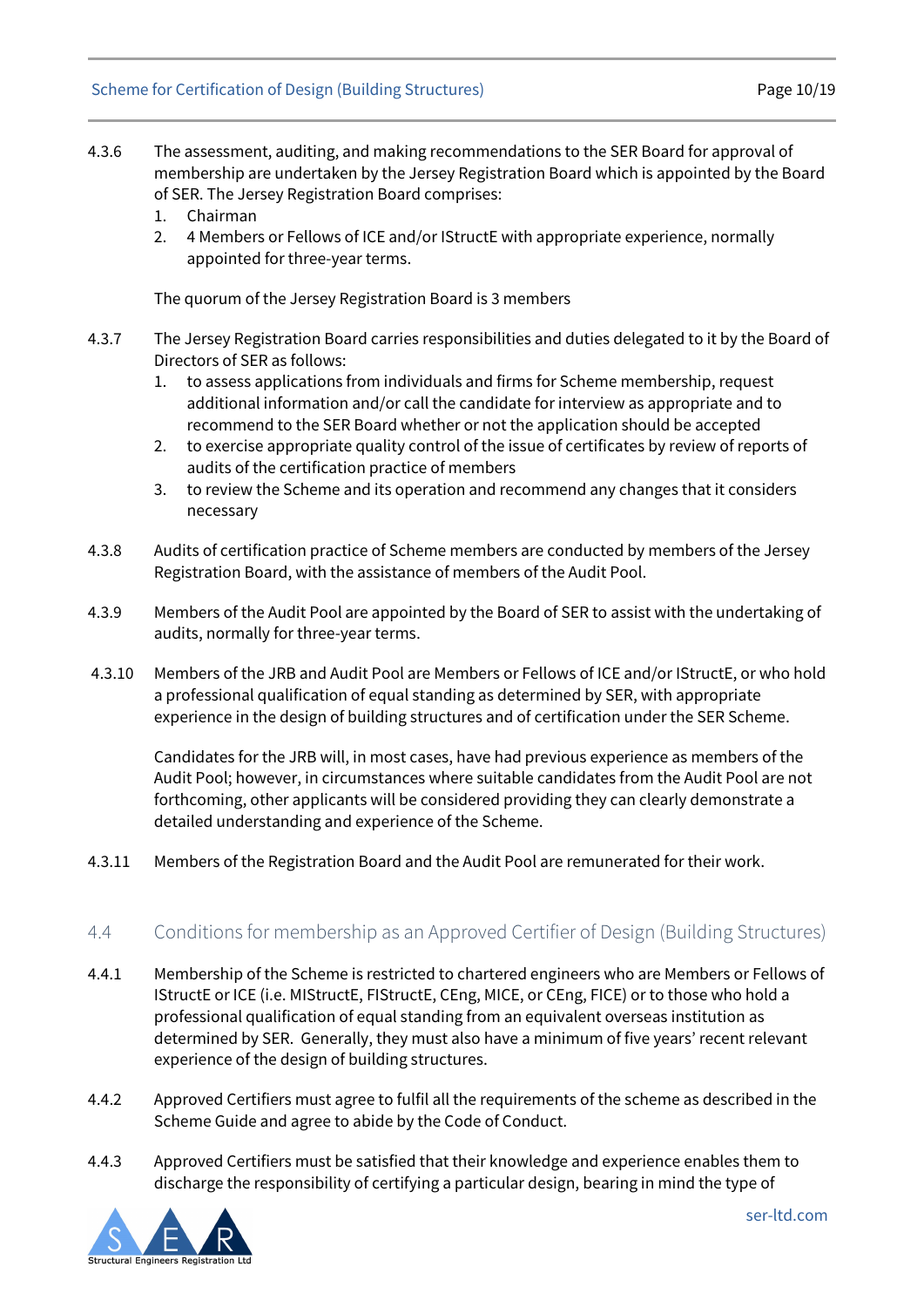- 4.3.6 The assessment, auditing, and making recommendations to the SER Board for approval of membership are undertaken by the Jersey Registration Board which is appointed by the Board of SER. The Jersey Registration Board comprises:
	- 1. Chairman
	- 2. 4 Members or Fellows of ICE and/or IStructE with appropriate experience, normally appointed for three-year terms.

The quorum of the Jersey Registration Board is 3 members

- 4.3.7 The Jersey Registration Board carries responsibilities and duties delegated to it by the Board of Directors of SER as follows:
	- 1. to assess applications from individuals and firms for Scheme membership, request additional information and/or call the candidate for interview as appropriate and to recommend to the SER Board whether or not the application should be accepted
	- 2. to exercise appropriate quality control of the issue of certificates by review of reports of audits of the certification practice of members
	- 3. to review the Scheme and its operation and recommend any changes that it considers necessary
- 4.3.8 Audits of certification practice of Scheme members are conducted by members of the Jersey Registration Board, with the assistance of members of the Audit Pool.
- 4.3.9 Members of the Audit Pool are appointed by the Board of SER to assist with the undertaking of audits, normally for three-year terms.
- 4.3.10 Members of the JRB and Audit Pool are Members or Fellows of ICE and/or IStructE, or who hold a professional qualification of equal standing as determined by SER, with appropriate experience in the design of building structures and of certification under the SER Scheme.

Candidates for the JRB will, in most cases, have had previous experience as members of the Audit Pool; however, in circumstances where suitable candidates from the Audit Pool are not forthcoming, other applicants will be considered providing they can clearly demonstrate a detailed understanding and experience of the Scheme.

4.3.11 Members of the Registration Board and the Audit Pool are remunerated for their work.

#### <span id="page-9-0"></span>4.4 Conditions for membership as an Approved Certifier of Design (Building Structures)

- 4.4.1 Membership of the Scheme is restricted to chartered engineers who are Members or Fellows of IStructE or ICE (i.e. MIStructE, FIStructE, CEng, MICE, or CEng, FICE) or to those who hold a professional qualification of equal standing from an equivalent overseas institution as determined by SER. Generally, they must also have a minimum of five years' recent relevant experience of the design of building structures.
- 4.4.2 Approved Certifiers must agree to fulfil all the requirements of the scheme as described in the Scheme Guide and agree to abide by the Code of Conduct.
- 4.4.3 Approved Certifiers must be satisfied that their knowledge and experience enables them to discharge the responsibility of certifying a particular design, bearing in mind the type of

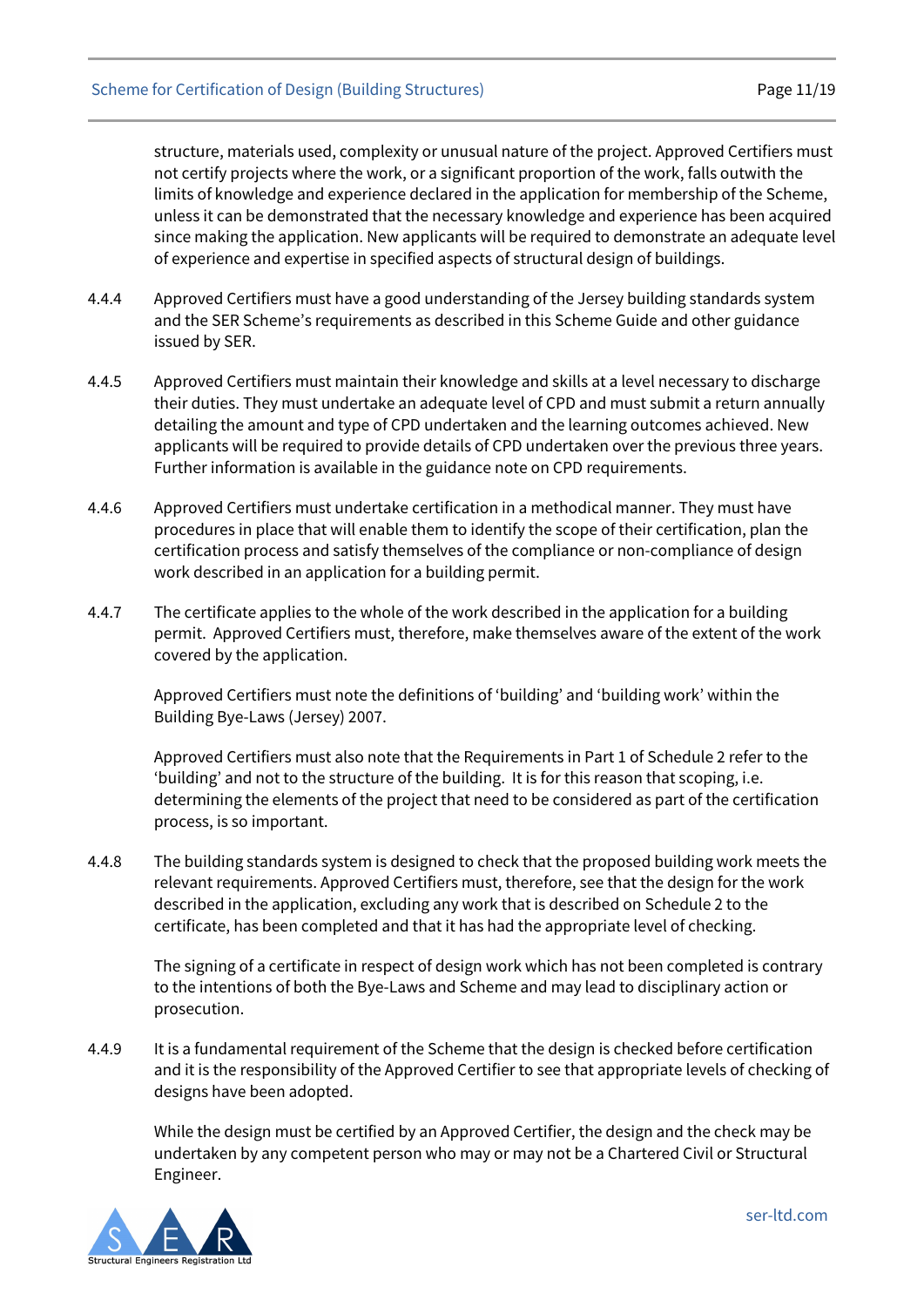structure, materials used, complexity or unusual nature of the project. Approved Certifiers must not certify projects where the work, or a significant proportion of the work, falls outwith the limits of knowledge and experience declared in the application for membership of the Scheme, unless it can be demonstrated that the necessary knowledge and experience has been acquired since making the application. New applicants will be required to demonstrate an adequate level of experience and expertise in specified aspects of structural design of buildings.

- 4.4.4 Approved Certifiers must have a good understanding of the Jersey building standards system and the SER Scheme's requirements as described in this Scheme Guide and other guidance issued by SER.
- 4.4.5 Approved Certifiers must maintain their knowledge and skills at a level necessary to discharge their duties. They must undertake an adequate level of CPD and must submit a return annually detailing the amount and type of CPD undertaken and the learning outcomes achieved. New applicants will be required to provide details of CPD undertaken over the previous three years. Further information is available in the guidance note on CPD requirements.
- 4.4.6 Approved Certifiers must undertake certification in a methodical manner. They must have procedures in place that will enable them to identify the scope of their certification, plan the certification process and satisfy themselves of the compliance or non-compliance of design work described in an application for a building permit.
- 4.4.7 The certificate applies to the whole of the work described in the application for a building permit. Approved Certifiers must, therefore, make themselves aware of the extent of the work covered by the application.

Approved Certifiers must note the definitions of 'building' and 'building work' within the Building Bye-Laws (Jersey) 2007.

Approved Certifiers must also note that the Requirements in Part 1 of Schedule 2 refer to the 'building' and not to the structure of the building. It is for this reason that scoping, i.e. determining the elements of the project that need to be considered as part of the certification process, is so important.

4.4.8 The building standards system is designed to check that the proposed building work meets the relevant requirements. Approved Certifiers must, therefore, see that the design for the work described in the application, excluding any work that is described on Schedule 2 to the certificate, has been completed and that it has had the appropriate level of checking.

The signing of a certificate in respect of design work which has not been completed is contrary to the intentions of both the Bye-Laws and Scheme and may lead to disciplinary action or prosecution.

4.4.9 It is a fundamental requirement of the Scheme that the design is checked before certification and it is the responsibility of the Approved Certifier to see that appropriate levels of checking of designs have been adopted.

While the design must be certified by an Approved Certifier, the design and the check may be undertaken by any competent person who may or may not be a Chartered Civil or Structural Engineer.

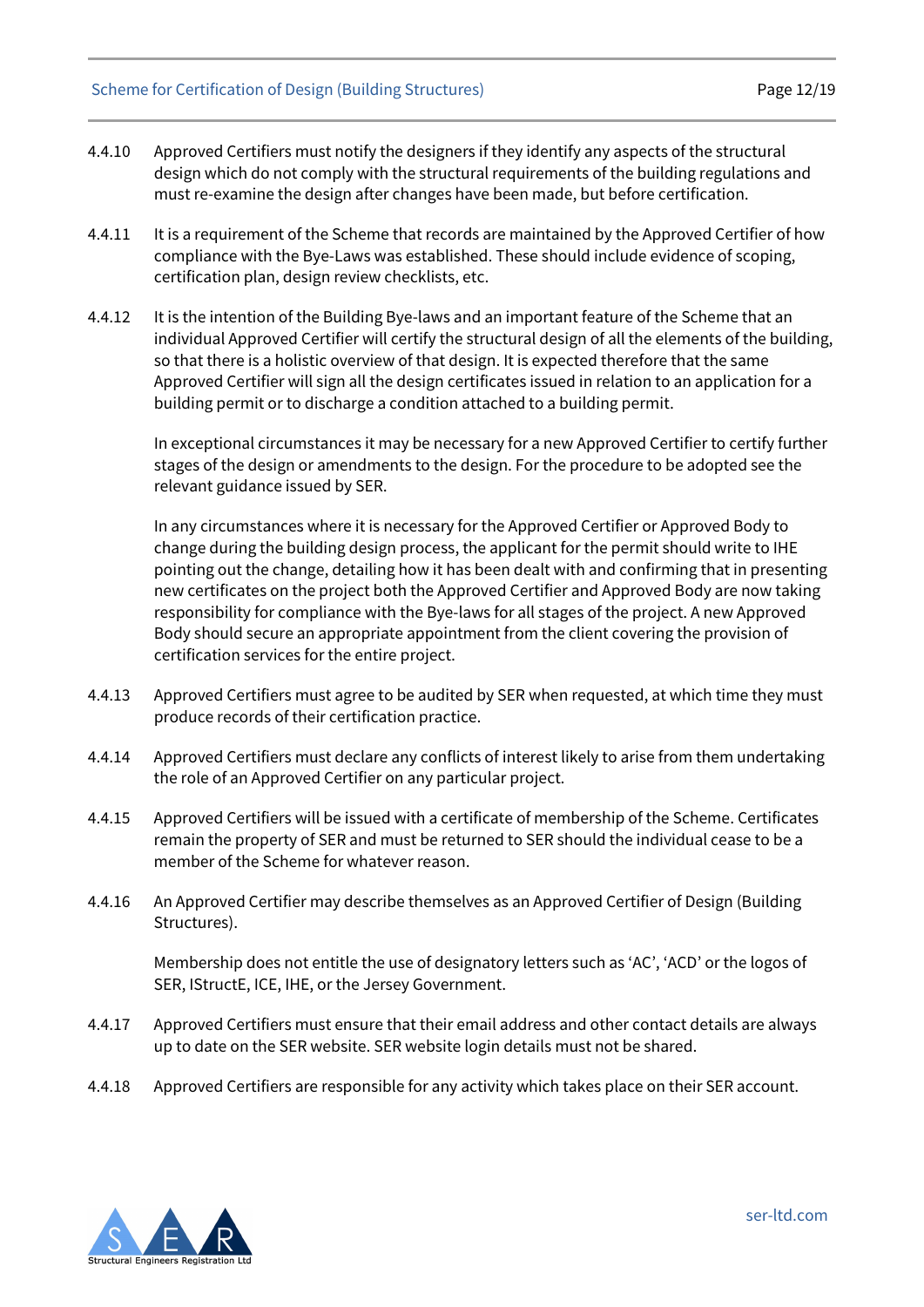#### Scheme for Certification of Design (Building Structures) example the manner of Page 12/19

- 4.4.10 Approved Certifiers must notify the designers if they identify any aspects of the structural design which do not comply with the structural requirements of the building regulations and must re-examine the design after changes have been made, but before certification.
- 4.4.11 It is a requirement of the Scheme that records are maintained by the Approved Certifier of how compliance with the Bye-Laws was established. These should include evidence of scoping, certification plan, design review checklists, etc.
- 4.4.12 It is the intention of the Building Bye-laws and an important feature of the Scheme that an individual Approved Certifier will certify the structural design of all the elements of the building, so that there is a holistic overview of that design. It is expected therefore that the same Approved Certifier will sign all the design certificates issued in relation to an application for a building permit or to discharge a condition attached to a building permit.

In exceptional circumstances it may be necessary for a new Approved Certifier to certify further stages of the design or amendments to the design. For the procedure to be adopted see the relevant guidance issued by SER.

In any circumstances where it is necessary for the Approved Certifier or Approved Body to change during the building design process, the applicant for the permit should write to IHE pointing out the change, detailing how it has been dealt with and confirming that in presenting new certificates on the project both the Approved Certifier and Approved Body are now taking responsibility for compliance with the Bye-laws for all stages of the project. A new Approved Body should secure an appropriate appointment from the client covering the provision of certification services for the entire project.

- 4.4.13 Approved Certifiers must agree to be audited by SER when requested, at which time they must produce records of their certification practice.
- 4.4.14 Approved Certifiers must declare any conflicts of interest likely to arise from them undertaking the role of an Approved Certifier on any particular project.
- 4.4.15 Approved Certifiers will be issued with a certificate of membership of the Scheme. Certificates remain the property of SER and must be returned to SER should the individual cease to be a member of the Scheme for whatever reason.
- 4.4.16 An Approved Certifier may describe themselves as an Approved Certifier of Design (Building Structures).

Membership does not entitle the use of designatory letters such as 'AC', 'ACD' or the logos of SER, IStructE, ICE, IHE, or the Jersey Government.

- 4.4.17 Approved Certifiers must ensure that their email address and other contact details are always up to date on the SER website. SER website login details must not be shared.
- <span id="page-11-0"></span>4.4.18 Approved Certifiers are responsible for any activity which takes place on their SER account.

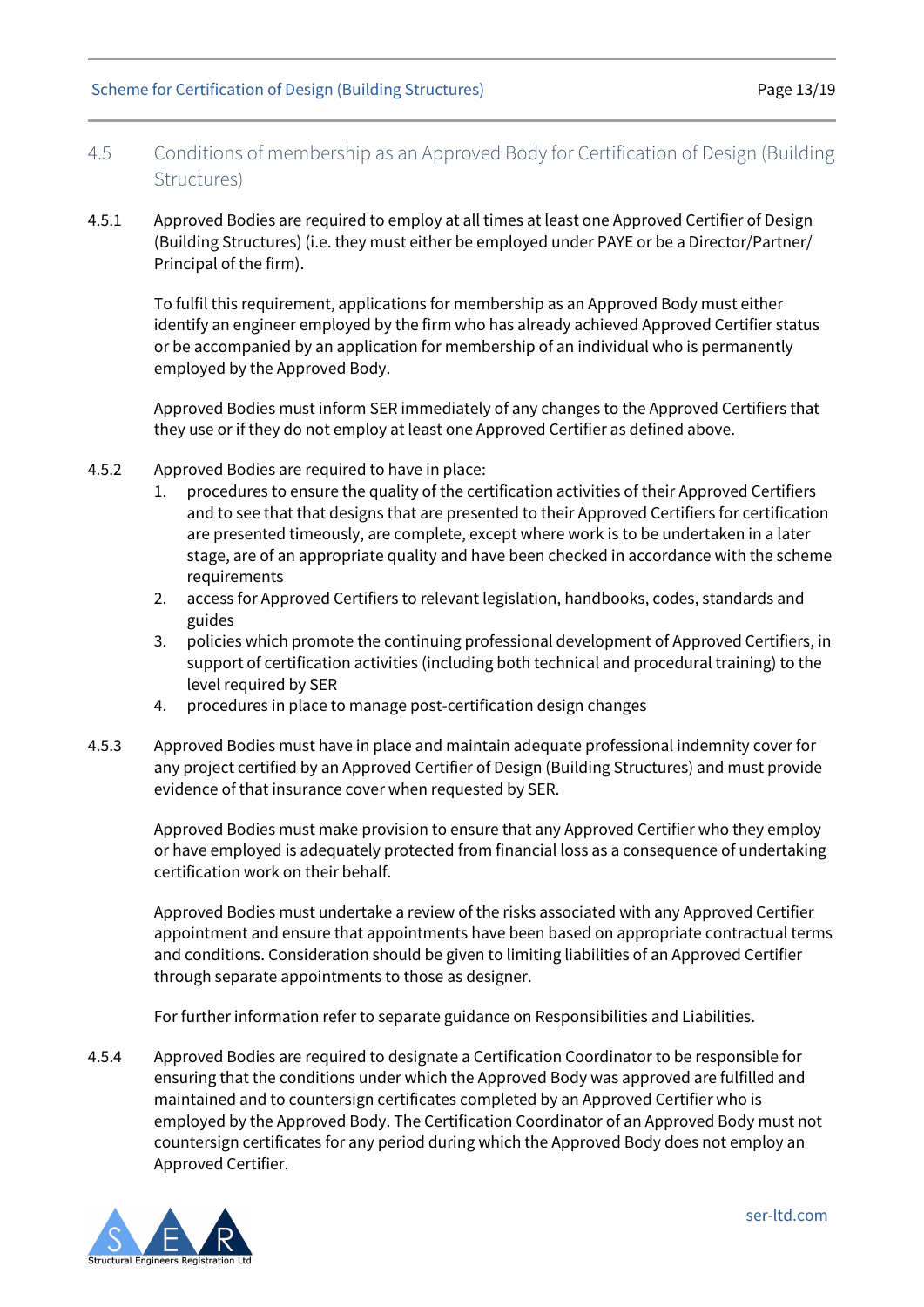- 4.5 Conditions of membership as an Approved Body for Certification of Design (Building Structures)
- 4.5.1 Approved Bodies are required to employ at all times at least one Approved Certifier of Design (Building Structures) (i.e. they must either be employed under PAYE or be a Director/Partner/ Principal of the firm).

To fulfil this requirement, applications for membership as an Approved Body must either identify an engineer employed by the firm who has already achieved Approved Certifier status or be accompanied by an application for membership of an individual who is permanently employed by the Approved Body.

Approved Bodies must inform SER immediately of any changes to the Approved Certifiers that they use or if they do not employ at least one Approved Certifier as defined above.

- 4.5.2 Approved Bodies are required to have in place:
	- 1. procedures to ensure the quality of the certification activities of their Approved Certifiers and to see that that designs that are presented to their Approved Certifiers for certification are presented timeously, are complete, except where work is to be undertaken in a later stage, are of an appropriate quality and have been checked in accordance with the scheme requirements
	- 2. access for Approved Certifiers to relevant legislation, handbooks, codes, standards and guides
	- 3. policies which promote the continuing professional development of Approved Certifiers, in support of certification activities (including both technical and procedural training) to the level required by SER
	- 4. procedures in place to manage post-certification design changes
- 4.5.3 Approved Bodies must have in place and maintain adequate professional indemnity cover for any project certified by an Approved Certifier of Design (Building Structures) and must provide evidence of that insurance cover when requested by SER.

Approved Bodies must make provision to ensure that any Approved Certifier who they employ or have employed is adequately protected from financial loss as a consequence of undertaking certification work on their behalf.

Approved Bodies must undertake a review of the risks associated with any Approved Certifier appointment and ensure that appointments have been based on appropriate contractual terms and conditions. Consideration should be given to limiting liabilities of an Approved Certifier through separate appointments to those as designer.

For further information refer to separate guidance on Responsibilities and Liabilities.

4.5.4 Approved Bodies are required to designate a Certification Coordinator to be responsible for ensuring that the conditions under which the Approved Body was approved are fulfilled and maintained and to countersign certificates completed by an Approved Certifier who is employed by the Approved Body. The Certification Coordinator of an Approved Body must not countersign certificates for any period during which the Approved Body does not employ an Approved Certifier.

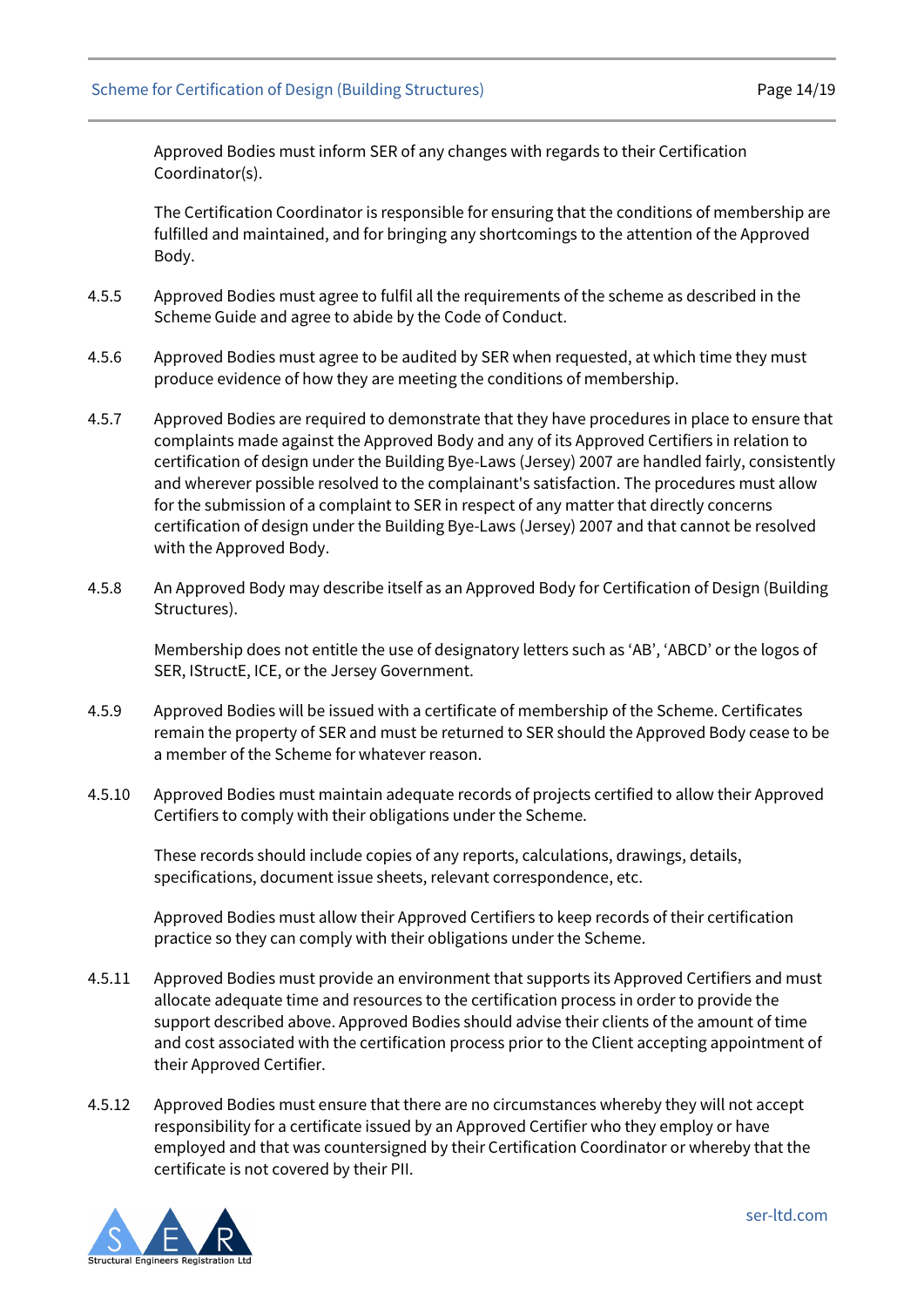Approved Bodies must inform SER of any changes with regards to their Certification Coordinator(s).

The Certification Coordinator is responsible for ensuring that the conditions of membership are fulfilled and maintained, and for bringing any shortcomings to the attention of the Approved Body.

- 4.5.5 Approved Bodies must agree to fulfil all the requirements of the scheme as described in the Scheme Guide and agree to abide by the Code of Conduct.
- 4.5.6 Approved Bodies must agree to be audited by SER when requested, at which time they must produce evidence of how they are meeting the conditions of membership.
- 4.5.7 Approved Bodies are required to demonstrate that they have procedures in place to ensure that complaints made against the Approved Body and any of its Approved Certifiers in relation to certification of design under the Building Bye-Laws (Jersey) 2007 are handled fairly, consistently and wherever possible resolved to the complainant's satisfaction. The procedures must allow for the submission of a complaint to SER in respect of any matter that directly concerns certification of design under the Building Bye-Laws (Jersey) 2007 and that cannot be resolved with the Approved Body.
- 4.5.8 An Approved Body may describe itself as an Approved Body for Certification of Design (Building Structures).

Membership does not entitle the use of designatory letters such as 'AB', 'ABCD' or the logos of SER, IStructE, ICE, or the Jersey Government.

- 4.5.9 Approved Bodies will be issued with a certificate of membership of the Scheme. Certificates remain the property of SER and must be returned to SER should the Approved Body cease to be a member of the Scheme for whatever reason.
- 4.5.10 Approved Bodies must maintain adequate records of projects certified to allow their Approved Certifiers to comply with their obligations under the Scheme.

These records should include copies of any reports, calculations, drawings, details, specifications, document issue sheets, relevant correspondence, etc.

Approved Bodies must allow their Approved Certifiers to keep records of their certification practice so they can comply with their obligations under the Scheme.

- 4.5.11 Approved Bodies must provide an environment that supports its Approved Certifiers and must allocate adequate time and resources to the certification process in order to provide the support described above. Approved Bodies should advise their clients of the amount of time and cost associated with the certification process prior to the Client accepting appointment of their Approved Certifier.
- 4.5.12 Approved Bodies must ensure that there are no circumstances whereby they will not accept responsibility for a certificate issued by an Approved Certifier who they employ or have employed and that was countersigned by their Certification Coordinator or whereby that the certificate is not covered by their PII.

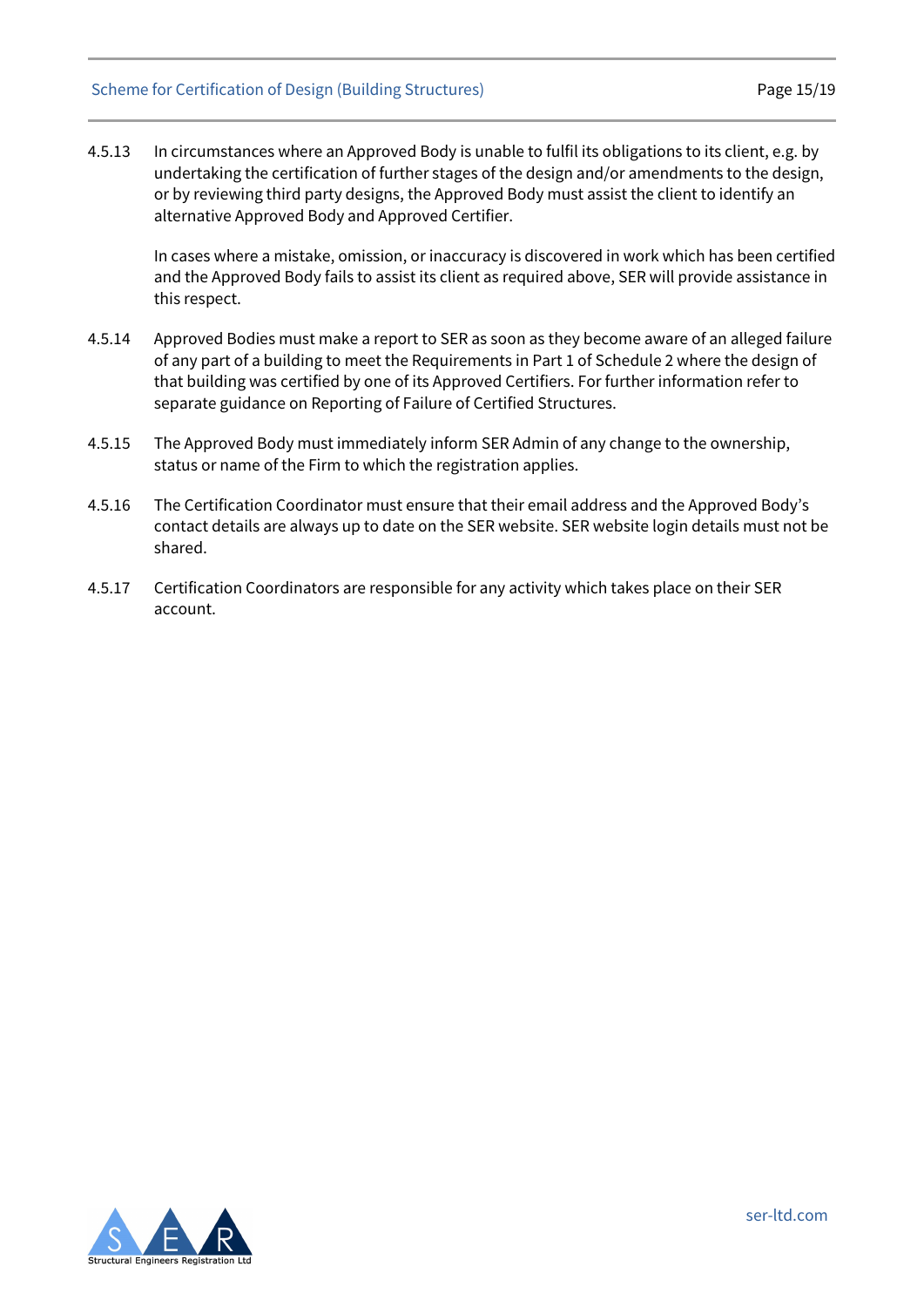4.5.13 In circumstances where an Approved Body is unable to fulfil its obligations to its client, e.g. by undertaking the certification of further stages of the design and/or amendments to the design, or by reviewing third party designs, the Approved Body must assist the client to identify an alternative Approved Body and Approved Certifier.

In cases where a mistake, omission, or inaccuracy is discovered in work which has been certified and the Approved Body fails to assist its client as required above, SER will provide assistance in this respect.

- 4.5.14 Approved Bodies must make a report to SER as soon as they become aware of an alleged failure of any part of a building to meet the Requirements in Part 1 of Schedule 2 where the design of that building was certified by one of its Approved Certifiers. For further information refer to separate guidance on Reporting of Failure of Certified Structures.
- 4.5.15 The Approved Body must immediately inform SER Admin of any change to the ownership, status or name of the Firm to which the registration applies.
- 4.5.16 The Certification Coordinator must ensure that their email address and the Approved Body's contact details are always up to date on the SER website. SER website login details must not be shared.
- <span id="page-14-0"></span>4.5.17 Certification Coordinators are responsible for any activity which takes place on their SER account.

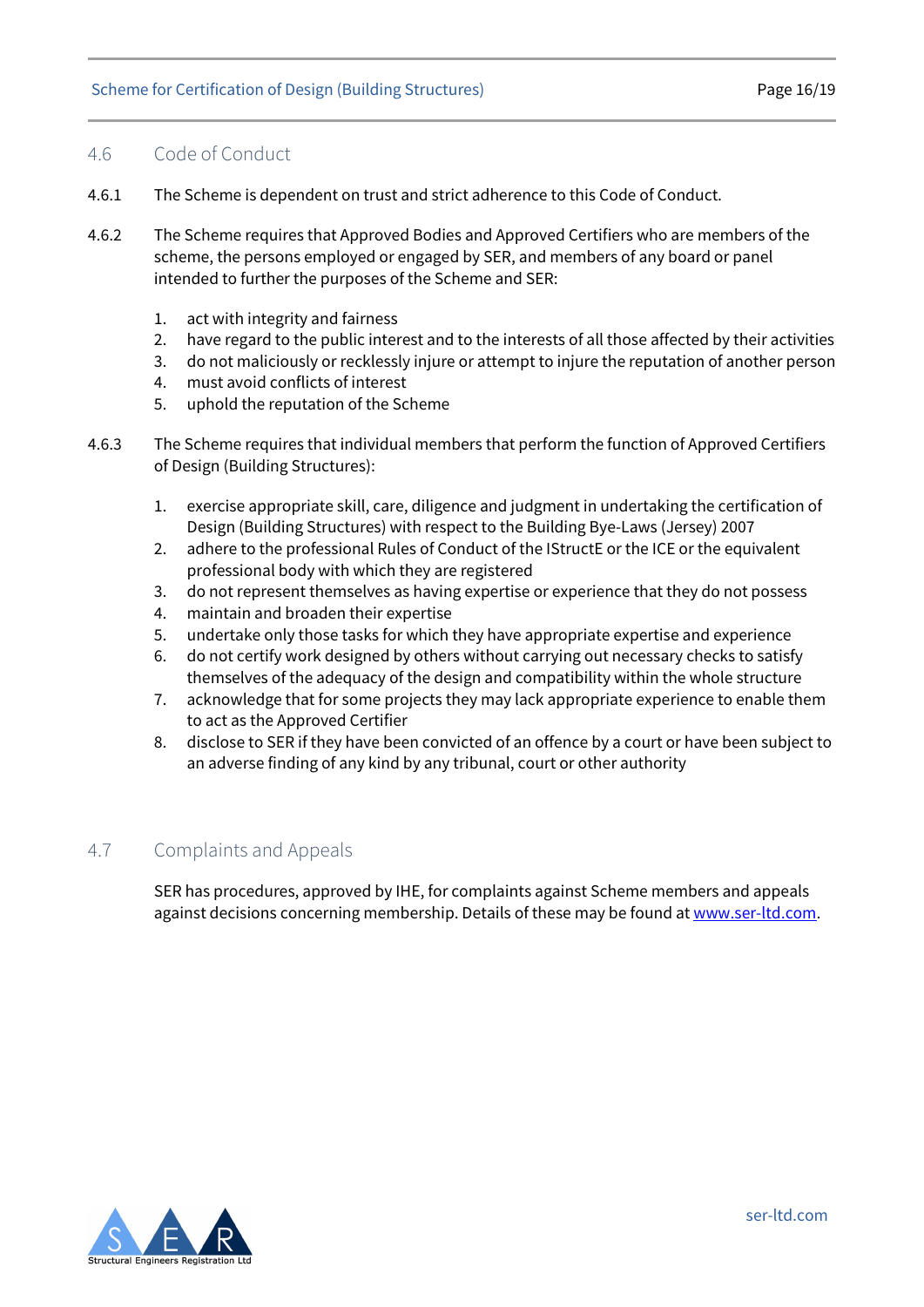#### 4.6 Code of Conduct

- 4.6.1 The Scheme is dependent on trust and strict adherence to this Code of Conduct.
- 4.6.2 The Scheme requires that Approved Bodies and Approved Certifiers who are members of the scheme, the persons employed or engaged by SER, and members of any board or panel intended to further the purposes of the Scheme and SER:
	- 1. act with integrity and fairness
	- 2. have regard to the public interest and to the interests of all those affected by their activities
	- 3. do not maliciously or recklessly injure or attempt to injure the reputation of another person
	- 4. must avoid conflicts of interest
	- 5. uphold the reputation of the Scheme
- 4.6.3 The Scheme requires that individual members that perform the function of Approved Certifiers of Design (Building Structures):
	- 1. exercise appropriate skill, care, diligence and judgment in undertaking the certification of Design (Building Structures) with respect to the Building Bye-Laws (Jersey) 2007
	- 2. adhere to the professional Rules of Conduct of the IStructE or the ICE or the equivalent professional body with which they are registered
	- 3. do not represent themselves as having expertise or experience that they do not possess
	- 4. maintain and broaden their expertise
	- 5. undertake only those tasks for which they have appropriate expertise and experience
	- 6. do not certify work designed by others without carrying out necessary checks to satisfy themselves of the adequacy of the design and compatibility within the whole structure
	- 7. acknowledge that for some projects they may lack appropriate experience to enable them to act as the Approved Certifier
	- 8. disclose to SER if they have been convicted of an offence by a court or have been subject to an adverse finding of any kind by any tribunal, court or other authority

#### <span id="page-15-0"></span>4.7 Complaints and Appeals

SER has procedures, approved by IHE, for complaints against Scheme members and appeals against decisions concerning membership. Details of these may be found at [www.ser-ltd.com.](http://www.ser-ltd.com/)

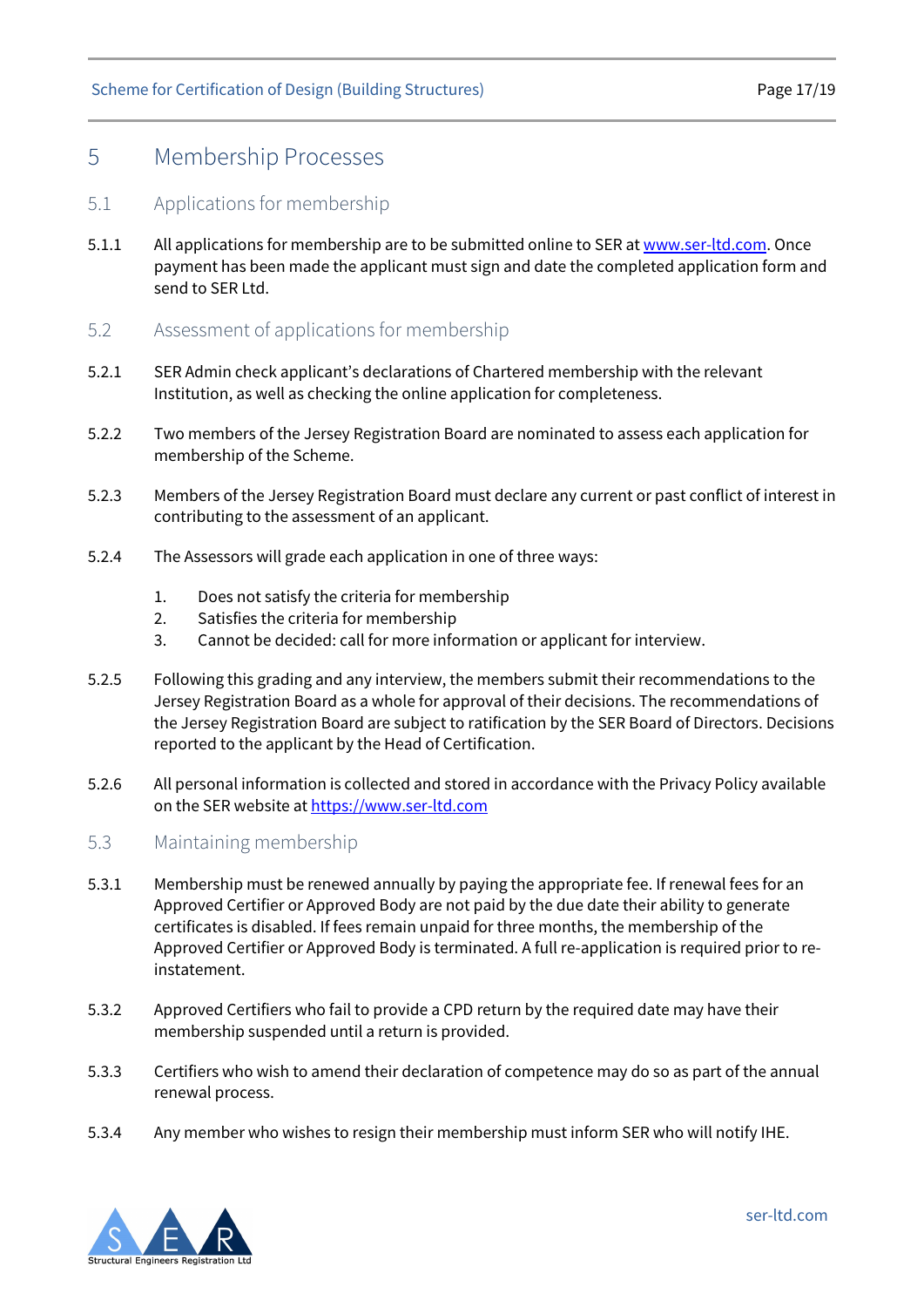## <span id="page-16-0"></span>5 Membership Processes

#### <span id="page-16-1"></span>5.1 Applications for membership

- 5.1.1 All applications for membership are to be submitted online to SER at [www.ser-ltd.com.](http://www.ser-ltd.com/) Once payment has been made the applicant must sign and date the completed application form and send to SER Ltd.
- <span id="page-16-2"></span>5.2 Assessment of applications for membership
- 5.2.1 SER Admin check applicant's declarations of Chartered membership with the relevant Institution, as well as checking the online application for completeness.
- 5.2.2 Two members of the Jersey Registration Board are nominated to assess each application for membership of the Scheme.
- 5.2.3 Members of the Jersey Registration Board must declare any current or past conflict of interest in contributing to the assessment of an applicant.
- 5.2.4 The Assessors will grade each application in one of three ways:
	- 1. Does not satisfy the criteria for membership
	- 2. Satisfies the criteria for membership
	- 3. Cannot be decided: call for more information or applicant for interview.
- 5.2.5 Following this grading and any interview, the members submit their recommendations to the Jersey Registration Board as a whole for approval of their decisions. The recommendations of the Jersey Registration Board are subject to ratification by the SER Board of Directors. Decisions reported to the applicant by the Head of Certification.
- 5.2.6 All personal information is collected and stored in accordance with the Privacy Policy available on the SER website a[t https://www.ser-ltd.com](https://www.ser-ltd.com/)
- <span id="page-16-3"></span>5.3 Maintaining membership
- 5.3.1 Membership must be renewed annually by paying the appropriate fee. If renewal fees for an Approved Certifier or Approved Body are not paid by the due date their ability to generate certificates is disabled. If fees remain unpaid for three months, the membership of the Approved Certifier or Approved Body is terminated. A full re-application is required prior to reinstatement.
- 5.3.2 Approved Certifiers who fail to provide a CPD return by the required date may have their membership suspended until a return is provided.
- 5.3.3 Certifiers who wish to amend their declaration of competence may do so as part of the annual renewal process.
- 5.3.4 Any member who wishes to resign their membership must inform SER who will notify IHE.

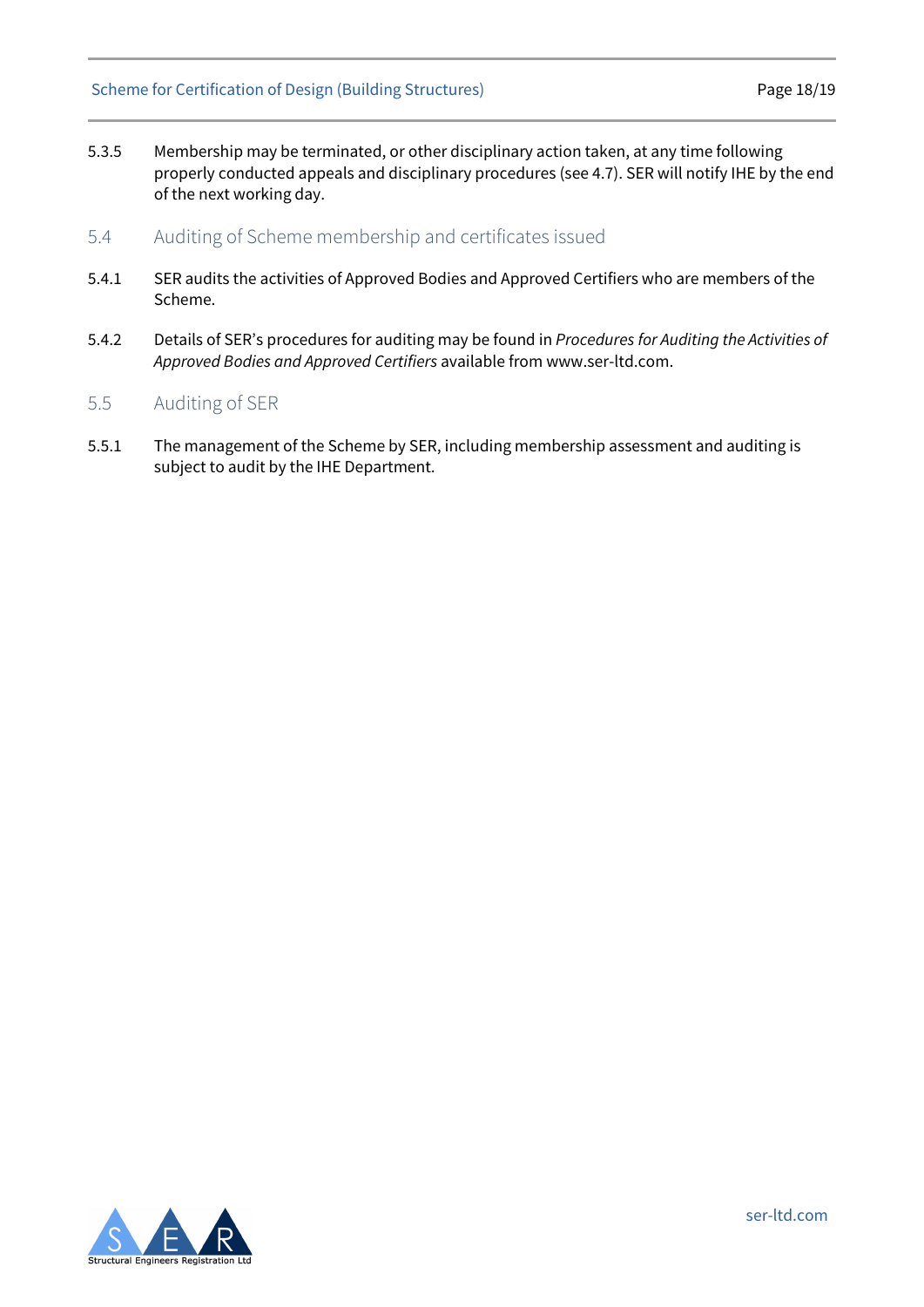#### Scheme for Certification of Design (Building Structures) Page 18/19

5.3.5 Membership may be terminated, or other disciplinary action taken, at any time following properly conducted appeals and disciplinary procedures (see 4.7). SER will notify IHE by the end of the next working day.

#### <span id="page-17-0"></span>5.4 Auditing of Scheme membership and certificates issued

- 5.4.1 SER audits the activities of Approved Bodies and Approved Certifiers who are members of the Scheme.
- 5.4.2 Details of SER's procedures for auditing may be found in *Procedures for Auditing the Activities of Approved Bodies and Approved Certifiers* available from [www.ser-ltd.com.](http://www.ser-ltd.com/)

#### <span id="page-17-1"></span>5.5 Auditing of SER

5.5.1 The management of the Scheme by SER, including membership assessment and auditing is subject to audit by the IHE Department.